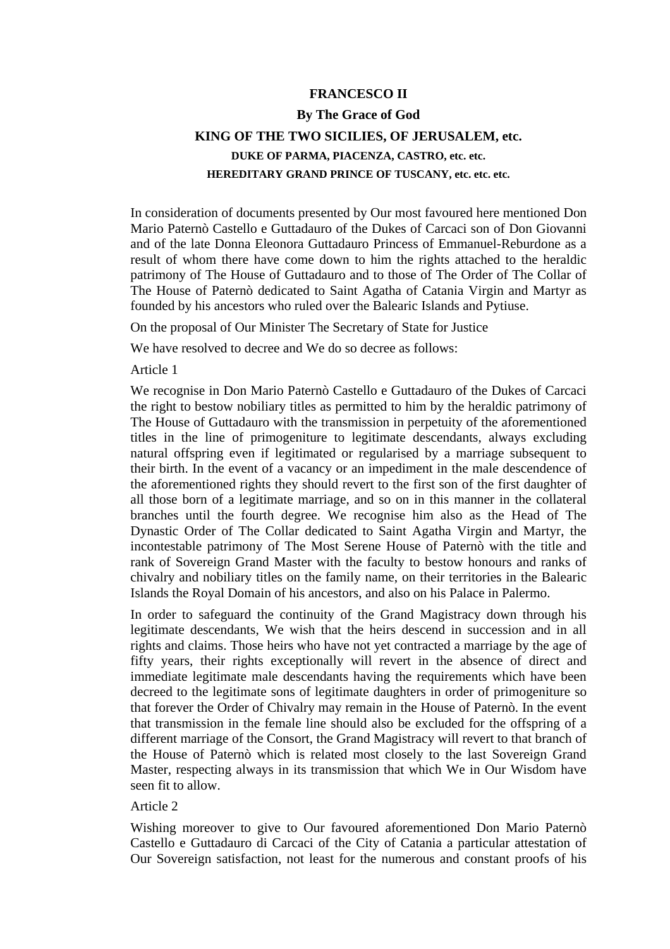## **FRANCESCO II**

## **By The Grace of God KING OF THE TWO SICILIES, OF JERUSALEM, etc. DUKE OF PARMA, PIACENZA, CASTRO, etc. etc. HEREDITARY GRAND PRINCE OF TUSCANY, etc. etc. etc.**

In consideration of documents presented by Our most favoured here mentioned Don Mario Paternò Castello e Guttadauro of the Dukes of Carcaci son of Don Giovanni and of the late Donna Eleonora Guttadauro Princess of Emmanuel-Reburdone as a result of whom there have come down to him the rights attached to the heraldic patrimony of The House of Guttadauro and to those of The Order of The Collar of The House of Paternò dedicated to Saint Agatha of Catania Virgin and Martyr as founded by his ancestors who ruled over the Balearic Islands and Pytiuse.

On the proposal of Our Minister The Secretary of State for Justice

We have resolved to decree and We do so decree as follows:

Article 1

We recognise in Don Mario Paternò Castello e Guttadauro of the Dukes of Carcaci the right to bestow nobiliary titles as permitted to him by the heraldic patrimony of The House of Guttadauro with the transmission in perpetuity of the aforementioned titles in the line of primogeniture to legitimate descendants, always excluding natural offspring even if legitimated or regularised by a marriage subsequent to their birth. In the event of a vacancy or an impediment in the male descendence of the aforementioned rights they should revert to the first son of the first daughter of all those born of a legitimate marriage, and so on in this manner in the collateral branches until the fourth degree. We recognise him also as the Head of The Dynastic Order of The Collar dedicated to Saint Agatha Virgin and Martyr, the incontestable patrimony of The Most Serene House of Paternò with the title and rank of Sovereign Grand Master with the faculty to bestow honours and ranks of chivalry and nobiliary titles on the family name, on their territories in the Balearic Islands the Royal Domain of his ancestors, and also on his Palace in Palermo.

In order to safeguard the continuity of the Grand Magistracy down through his legitimate descendants, We wish that the heirs descend in succession and in all rights and claims. Those heirs who have not yet contracted a marriage by the age of fifty years, their rights exceptionally will revert in the absence of direct and immediate legitimate male descendants having the requirements which have been decreed to the legitimate sons of legitimate daughters in order of primogeniture so that forever the Order of Chivalry may remain in the House of Paternò. In the event that transmission in the female line should also be excluded for the offspring of a different marriage of the Consort, the Grand Magistracy will revert to that branch of the House of Paternò which is related most closely to the last Sovereign Grand Master, respecting always in its transmission that which We in Our Wisdom have seen fit to allow.

## Article 2

Wishing moreover to give to Our favoured aforementioned Don Mario Paternò Castello e Guttadauro di Carcaci of the City of Catania a particular attestation of Our Sovereign satisfaction, not least for the numerous and constant proofs of his